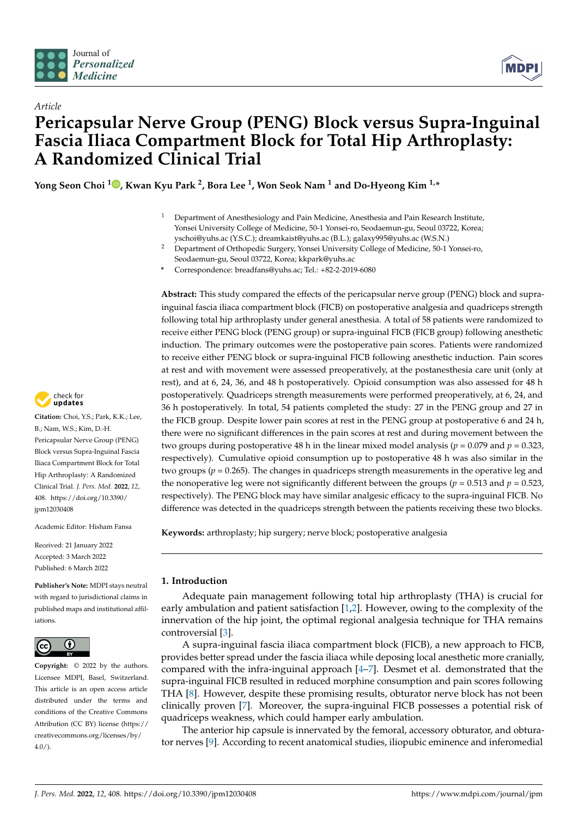



# *Article* **Pericapsular Nerve Group (PENG) Block versus Supra-Inguinal Fascia Iliaca Compartment Block for Total Hip Arthroplasty: A Randomized Clinical Trial**

**Yong Seon Choi <sup>1</sup> [,](https://orcid.org/0000-0002-5348-864X) Kwan Kyu Park <sup>2</sup> , Bora Lee <sup>1</sup> , Won Seok Nam <sup>1</sup> and Do-Hyeong Kim 1,\***

- <sup>1</sup> Department of Anesthesiology and Pain Medicine, Anesthesia and Pain Research Institute, Yonsei University College of Medicine, 50-1 Yonsei-ro, Seodaemun-gu, Seoul 03722, Korea; yschoi@yuhs.ac (Y.S.C.); dreamkaist@yuhs.ac (B.L.); galaxy995@yuhs.ac (W.S.N.)
- <sup>2</sup> Department of Orthopedic Surgery, Yonsei University College of Medicine, 50-1 Yonsei-ro, Seodaemun-gu, Seoul 03722, Korea; kkpark@yuhs.ac
- **\*** Correspondence: breadfans@yuhs.ac; Tel.: +82-2-2019-6080

**Abstract:** This study compared the effects of the pericapsular nerve group (PENG) block and suprainguinal fascia iliaca compartment block (FICB) on postoperative analgesia and quadriceps strength following total hip arthroplasty under general anesthesia. A total of 58 patients were randomized to receive either PENG block (PENG group) or supra-inguinal FICB (FICB group) following anesthetic induction. The primary outcomes were the postoperative pain scores. Patients were randomized to receive either PENG block or supra-inguinal FICB following anesthetic induction. Pain scores at rest and with movement were assessed preoperatively, at the postanesthesia care unit (only at rest), and at 6, 24, 36, and 48 h postoperatively. Opioid consumption was also assessed for 48 h postoperatively. Quadriceps strength measurements were performed preoperatively, at 6, 24, and 36 h postoperatively. In total, 54 patients completed the study: 27 in the PENG group and 27 in the FICB group. Despite lower pain scores at rest in the PENG group at postoperative 6 and 24 h, there were no significant differences in the pain scores at rest and during movement between the two groups during postoperative 48 h in the linear mixed model analysis ( $p = 0.079$  and  $p = 0.323$ , respectively). Cumulative opioid consumption up to postoperative 48 h was also similar in the two groups ( $p = 0.265$ ). The changes in quadriceps strength measurements in the operative leg and the nonoperative leg were not significantly different between the groups ( $p = 0.513$  and  $p = 0.523$ , respectively). The PENG block may have similar analgesic efficacy to the supra-inguinal FICB. No difference was detected in the quadriceps strength between the patients receiving these two blocks.

**Keywords:** arthroplasty; hip surgery; nerve block; postoperative analgesia

## **1. Introduction**

Adequate pain management following total hip arthroplasty (THA) is crucial for early ambulation and patient satisfaction [\[1,](#page-9-0)[2\]](#page-9-1). However, owing to the complexity of the innervation of the hip joint, the optimal regional analgesia technique for THA remains controversial [\[3\]](#page-9-2).

A supra-inguinal fascia iliaca compartment block (FICB), a new approach to FICB, provides better spread under the fascia iliaca while deposing local anesthetic more cranially, compared with the infra-inguinal approach [\[4](#page-9-3)[–7\]](#page-9-4). Desmet et al. demonstrated that the supra-inguinal FICB resulted in reduced morphine consumption and pain scores following THA [\[8\]](#page-9-5). However, despite these promising results, obturator nerve block has not been clinically proven [\[7\]](#page-9-4). Moreover, the supra-inguinal FICB possesses a potential risk of quadriceps weakness, which could hamper early ambulation.

The anterior hip capsule is innervated by the femoral, accessory obturator, and obturator nerves [\[9\]](#page-9-6). According to recent anatomical studies, iliopubic eminence and inferomedial



**Citation:** Choi, Y.S.; Park, K.K.; Lee, B.; Nam, W.S.; Kim, D.-H. Pericapsular Nerve Group (PENG) Block versus Supra-Inguinal Fascia Iliaca Compartment Block for Total Hip Arthroplasty: A Randomized Clinical Trial. *J. Pers. Med.* **2022**, *12*, 408. [https://doi.org/10.3390/](https://doi.org/10.3390/jpm12030408) [jpm12030408](https://doi.org/10.3390/jpm12030408)

Academic Editor: Hisham Fansa

Received: 21 January 2022 Accepted: 3 March 2022 Published: 6 March 2022

**Publisher's Note:** MDPI stays neutral with regard to jurisdictional claims in published maps and institutional affiliations.



**Copyright:** © 2022 by the authors. Licensee MDPI, Basel, Switzerland. This article is an open access article distributed under the terms and conditions of the Creative Commons Attribution (CC BY) license [\(https://](https://creativecommons.org/licenses/by/4.0/) [creativecommons.org/licenses/by/](https://creativecommons.org/licenses/by/4.0/)  $4.0/$ ).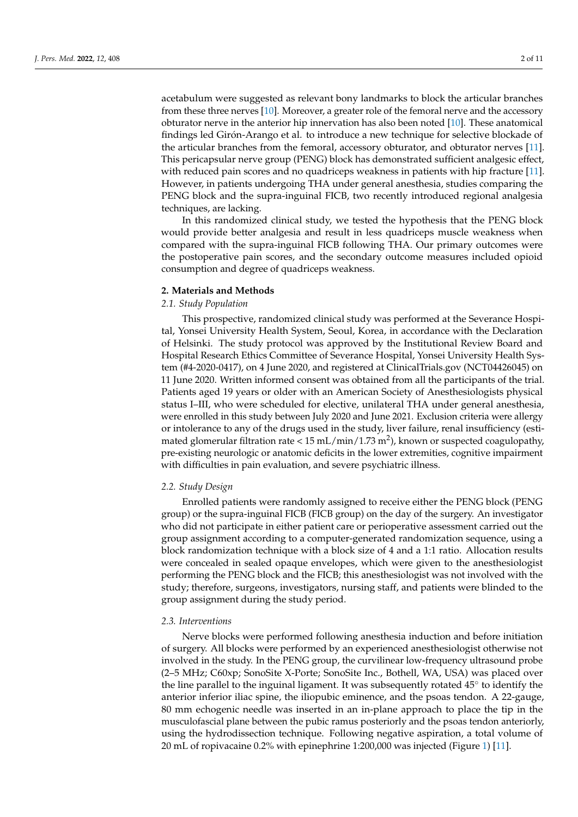acetabulum were suggested as relevant bony landmarks to block the articular branches from these three nerves [\[10\]](#page-9-7). Moreover, a greater role of the femoral nerve and the accessory obturator nerve in the anterior hip innervation has also been noted [\[10\]](#page-9-7). These anatomical findings led Girón-Arango et al. to introduce a new technique for selective blockade of the articular branches from the femoral, accessory obturator, and obturator nerves [\[11\]](#page-9-8). This pericapsular nerve group (PENG) block has demonstrated sufficient analgesic effect, with reduced pain scores and no quadriceps weakness in patients with hip fracture [\[11\]](#page-9-8). However, in patients undergoing THA under general anesthesia, studies comparing the PENG block and the supra-inguinal FICB, two recently introduced regional analgesia techniques, are lacking.

In this randomized clinical study, we tested the hypothesis that the PENG block would provide better analgesia and result in less quadriceps muscle weakness when compared with the supra-inguinal FICB following THA. Our primary outcomes were the postoperative pain scores, and the secondary outcome measures included opioid consumption and degree of quadriceps weakness.

## **2. Materials and Methods**

# *2.1. Study Population*

This prospective, randomized clinical study was performed at the Severance Hospital, Yonsei University Health System, Seoul, Korea, in accordance with the Declaration of Helsinki. The study protocol was approved by the Institutional Review Board and Hospital Research Ethics Committee of Severance Hospital, Yonsei University Health System (#4-2020-0417), on 4 June 2020, and registered at ClinicalTrials.gov (NCT04426045) on 11 June 2020. Written informed consent was obtained from all the participants of the trial. Patients aged 19 years or older with an American Society of Anesthesiologists physical status I–III, who were scheduled for elective, unilateral THA under general anesthesia, were enrolled in this study between July 2020 and June 2021. Exclusion criteria were allergy or intolerance to any of the drugs used in the study, liver failure, renal insufficiency (estimated glomerular filtration rate <  $15$  mL/min/ $1.73$  m<sup>2</sup>), known or suspected coagulopathy, pre-existing neurologic or anatomic deficits in the lower extremities, cognitive impairment with difficulties in pain evaluation, and severe psychiatric illness.

#### *2.2. Study Design*

Enrolled patients were randomly assigned to receive either the PENG block (PENG group) or the supra-inguinal FICB (FICB group) on the day of the surgery. An investigator who did not participate in either patient care or perioperative assessment carried out the group assignment according to a computer-generated randomization sequence, using a block randomization technique with a block size of 4 and a 1:1 ratio. Allocation results were concealed in sealed opaque envelopes, which were given to the anesthesiologist performing the PENG block and the FICB; this anesthesiologist was not involved with the study; therefore, surgeons, investigators, nursing staff, and patients were blinded to the group assignment during the study period.

# *2.3. Interventions*

Nerve blocks were performed following anesthesia induction and before initiation of surgery. All blocks were performed by an experienced anesthesiologist otherwise not involved in the study. In the PENG group, the curvilinear low-frequency ultrasound probe (2–5 MHz; C60xp; SonoSite X-Porte; SonoSite Inc., Bothell, WA, USA) was placed over the line parallel to the inguinal ligament. It was subsequently rotated 45° to identify the anterior inferior iliac spine, the iliopubic eminence, and the psoas tendon. A 22-gauge, 80 mm echogenic needle was inserted in an in-plane approach to place the tip in the musculofascial plane between the pubic ramus posteriorly and the psoas tendon anteriorly, using the hydrodissection technique. Following negative aspiration, a total volume of 20 mL of ropivacaine 0.2% with epinephrine 1:200,000 was injected (Figure [1\)](#page-2-0) [\[11\]](#page-9-8).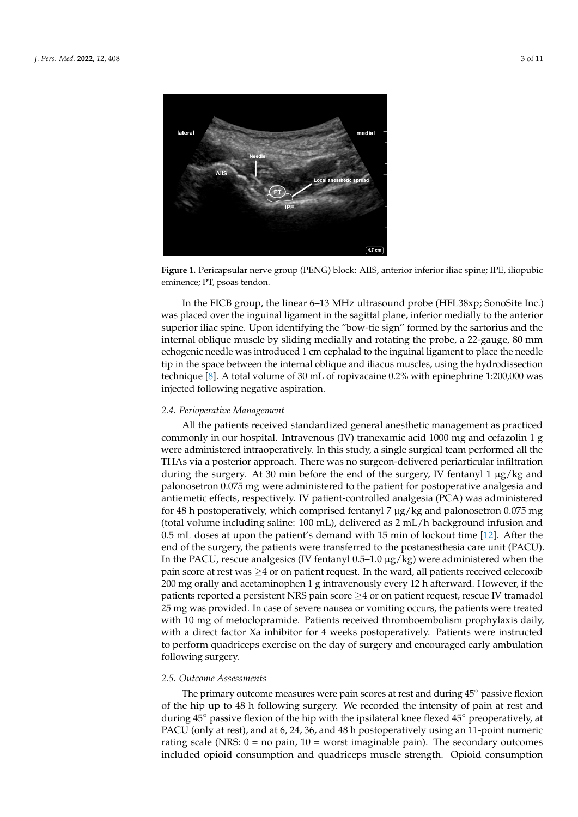<span id="page-2-0"></span>

**Figure 1.** Pericapsular nerve group (PENG) block: AIIS, anterior inferior iliac spine; IPE, iliopubic **Figure 1.** Pericapsular nerve group (PENG) block: AIIS, anterior inferior iliac spine; IPE, iliopubic eminence; PT, psoas tendon. eminence; PT, psoas tendon.

In the FICB group, the linear 6–13 MHz ultrasound probe (HFL38xp; SonoSite Inc.) In the FICB group, the linear 6–13 MHz ultrasound probe (HFL38xp; SonoSite Inc.) was placed over the inguinal ligament in the sagittal plane, inferior medially to the anterior superior iliac spine. Upon identifying the "bow-tie sign" formed by the sartorius and the the internal oblique muscle by sliding medially and rotating the probe, a 22-gauge, 80 mm internal oblique muscle by sliding medially and rotating the probe, a 22-gauge, 80 mm echogenic needle was introduced 1 cm cephalad to the inguinal ligament to place the needle tip in the space between the internal oblique and iliacus muscles, using the hydrodissection technique [\[8\]](#page-9-5). A total volume of 30 mL of ropivacaine 0.2% with epinephrine 1:200,000 was injected following negative aspiration.

# *2.4. Perioperative Management 2.4. Perioperative Management*

All the patients received standardized general anesthetic management as practiced All the patients received standardized general anesthetic management as practiced commonly in our hospital. Intravenous (IV) tranexamic acid 1000 mg and cefazolin 1 g commonly in our hospital. Intravenous (IV) tranexamic acid 1000 mg and cefazolin 1 g were administered intraoperatively. In this study, a single surgical team performed all the were administered intraoperatively. In this study, a single surgical team performed all the THAs via a posterior approach. There was no surgeon-delivered periarticular infiltration THAs via a posterior approach. There was no surgeon-delivered periarticular infiltration during the surgery. At 30 min before the end of the surgery, IV fentanyl 1 μg/kg and during the surgery. At 30 min before the end of the surgery, IV fentanyl 1 µg/kg and palonosetron 0.075 mg were administered to the patient for postoperative analgesia and palonosetron 0.075 mg were administered to the patient for postoperative analgesia and antiemetic effects, respectively. IV patient-controlled analgesia (PCA) was administered antiemetic effects, respectively. IV patient-controlled analgesia (PCA) was administered for 48 h postoperatively, which comprised fentanyl 7 μg/kg and palonosetron 0.075 mg<br>(i) did not be also did not be also did not be also did not be also did not be also did not be also did not be (total volume including saline: 100 mL), delivered as 2 mL/h background infusion and 0.5 (total volume including saline: 100 mL), delivered as 2 mL/h background infusion and 0.5 mL doses at upon the patient's demand with 15 min of lockout time [\[12\]](#page-9-9). After the end of the energy the patients were transformed to the pasteneath orientary (PACU). lend of the surgery, the patients were transferred to the postantisticistic care unit (PACU).<br>In the PACU, rescue analgesics (IV fentanyl 0.5–1.0 μg/kg) were administered when the pain score at rest was  $\geq$ 4 or on patient request. In the ward, all patients received celecoxib score at rest was ≥4 or on patient request. In the ward, all patients received celecoxib 200 200 mg orally and acetaminophen 1 g intravenously every 12 h afterward. However, if the mg orally and acetaminophen 1 g intravenously every 12 h afterward. However, if the patients reported a persistent NRS pain score ≥4 or on patient request, rescue IV tramadol patients reported a persistent near pair score  $\frac{1}{2}$  or on patient request, resemble relations and 25 mg was provided. In case of severe nausea or vomiting occurs, the patients were treated with 10 mg of metoclopramide. Patients received thromboembolism prophylaxis daily, with a direct factor Xa inhibitor for 4 weeks postoperatively. Patients were instructed to perform quadriceps exercise on the day of surgery and encouraged early ambulation  $p_{\text{in}}$  denote the day of surgery and encouraged early and encouraged early and encouraged early ambulation for  $\frac{1}{2}$  $\cup$  surface surface surface surface surface surface surface surface surface surface surface surface surface surface surface surface surface surface surface surface surface surface surface surface surface surface surface end of the surgery, the patients were transferred to the postanesthesia care unit (PACU). following surgery.

#### *2.5. Outcome Assessments*

The primary outcome measures were pain scores at rest and during 45° passive flexion of the hip up to 48 h following surgery. We recorded the intensity of pain at rest and during 45◦ passive flexion of the hip with the ipsilateral knee flexed 45◦ preoperatively, at PACU (only at rest), and at 6, 24, 36, and 48 h postoperatively using an 11-point numeric rating scale (NRS:  $0 =$  no pain,  $10 =$  worst imaginable pain). The secondary outcomes included opioid consumption and quadriceps muscle strength. Opioid consumption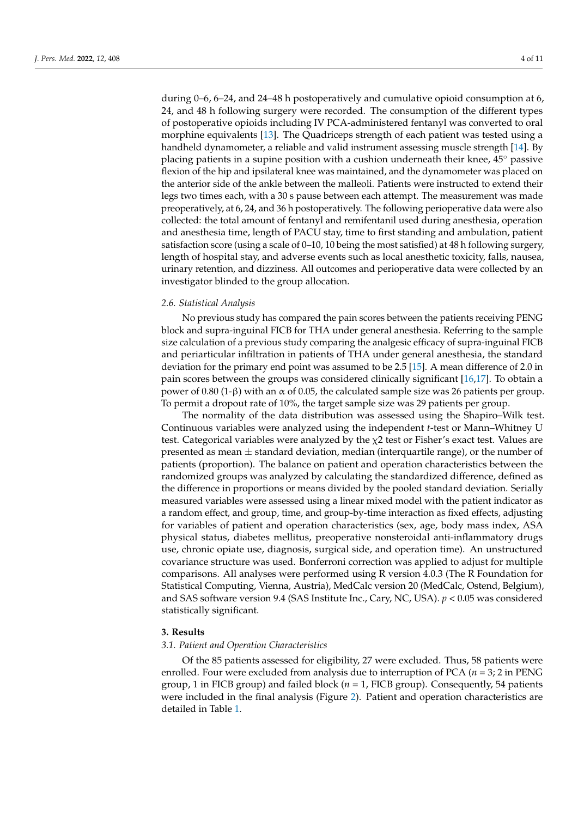during 0–6, 6–24, and 24–48 h postoperatively and cumulative opioid consumption at 6, 24, and 48 h following surgery were recorded. The consumption of the different types of postoperative opioids including IV PCA-administered fentanyl was converted to oral morphine equivalents [\[13\]](#page-9-10). The Quadriceps strength of each patient was tested using a handheld dynamometer, a reliable and valid instrument assessing muscle strength [\[14\]](#page-9-11). By placing patients in a supine position with a cushion underneath their knee, 45◦ passive flexion of the hip and ipsilateral knee was maintained, and the dynamometer was placed on the anterior side of the ankle between the malleoli. Patients were instructed to extend their legs two times each, with a 30 s pause between each attempt. The measurement was made preoperatively, at 6, 24, and 36 h postoperatively. The following perioperative data were also collected: the total amount of fentanyl and remifentanil used during anesthesia, operation and anesthesia time, length of PACU stay, time to first standing and ambulation, patient satisfaction score (using a scale of 0–10, 10 being the most satisfied) at 48 h following surgery, length of hospital stay, and adverse events such as local anesthetic toxicity, falls, nausea, urinary retention, and dizziness. All outcomes and perioperative data were collected by an investigator blinded to the group allocation.

#### *2.6. Statistical Analysis*

No previous study has compared the pain scores between the patients receiving PENG block and supra-inguinal FICB for THA under general anesthesia. Referring to the sample size calculation of a previous study comparing the analgesic efficacy of supra-inguinal FICB and periarticular infiltration in patients of THA under general anesthesia, the standard deviation for the primary end point was assumed to be 2.5 [\[15\]](#page-9-12). A mean difference of 2.0 in pain scores between the groups was considered clinically significant [\[16,](#page-10-0)[17\]](#page-10-1). To obtain a power of 0.80 (1-β) with an  $\alpha$  of 0.05, the calculated sample size was 26 patients per group. To permit a dropout rate of 10%, the target sample size was 29 patients per group.

The normality of the data distribution was assessed using the Shapiro–Wilk test. Continuous variables were analyzed using the independent *t*-test or Mann–Whitney U test. Categorical variables were analyzed by the  $\chi$ 2 test or Fisher's exact test. Values are presented as mean  $\pm$  standard deviation, median (interquartile range), or the number of patients (proportion). The balance on patient and operation characteristics between the randomized groups was analyzed by calculating the standardized difference, defined as the difference in proportions or means divided by the pooled standard deviation. Serially measured variables were assessed using a linear mixed model with the patient indicator as a random effect, and group, time, and group-by-time interaction as fixed effects, adjusting for variables of patient and operation characteristics (sex, age, body mass index, ASA physical status, diabetes mellitus, preoperative nonsteroidal anti-inflammatory drugs use, chronic opiate use, diagnosis, surgical side, and operation time). An unstructured covariance structure was used. Bonferroni correction was applied to adjust for multiple comparisons. All analyses were performed using R version 4.0.3 (The R Foundation for Statistical Computing, Vienna, Austria), MedCalc version 20 (MedCalc, Ostend, Belgium), and SAS software version 9.4 (SAS Institute Inc., Cary, NC, USA). *p* < 0.05 was considered statistically significant.

## **3. Results**

#### *3.1. Patient and Operation Characteristics*

Of the 85 patients assessed for eligibility, 27 were excluded. Thus, 58 patients were enrolled. Four were excluded from analysis due to interruption of PCA (*n* = 3; 2 in PENG group, 1 in FICB group) and failed block  $(n = 1, FICB)$  group). Consequently, 54 patients were included in the final analysis (Figure [2\)](#page-4-0). Patient and operation characteristics are detailed in Table [1.](#page-4-1)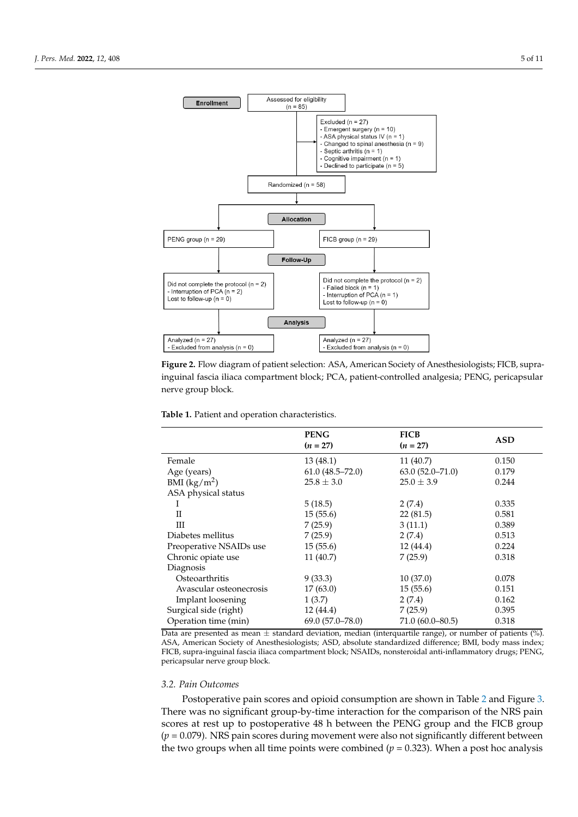detailed in Table 1. The Contract of the Table 1. The Contract of the Table 1. The Table 1. The Table 1. The T

<span id="page-4-0"></span>

inguinal fascia iliaca compartment block; PCA, patient-controlled analgesia; PENG, pericapsular nerve group block. **Figure 2.** Flow diagram of patient selection: ASA, American Society of Anesthesiologists; FICB, supra-

<span id="page-4-1"></span>**Table 1.** Patient and operation characteristics.

|                         | <b>PENG</b><br>$(n = 27)$ | <b>FICB</b><br>$(n = 27)$ | <b>ASD</b> |
|-------------------------|---------------------------|---------------------------|------------|
| Female                  | 13(48.1)                  | 11(40.7)                  | 0.150      |
| Age (years)             | $61.0(48.5 - 72.0)$       | $63.0(52.0 - 71.0)$       | 0.179      |
| BMI $(kg/m^2)$          | $25.8 \pm 3.0$            | $25.0 \pm 3.9$            | 0.244      |
| ASA physical status     |                           |                           |            |
| Ι.                      | 5(18.5)                   | 2(7.4)                    | 0.335      |
| H                       | 15(55.6)                  | 22(81.5)                  | 0.581      |
| Ш                       | 7(25.9)                   | 3(11.1)                   | 0.389      |
| Diabetes mellitus       | 7(25.9)                   | 2(7.4)                    | 0.513      |
| Preoperative NSAIDs use | 15(55.6)                  | 12(44.4)                  | 0.224      |
| Chronic opiate use      | 11(40.7)                  | 7(25.9)                   | 0.318      |
| Diagnosis               |                           |                           |            |
| Osteoarthritis          | 9(33.3)                   | 10(37.0)                  | 0.078      |
| Avascular osteonecrosis | 17(63.0)                  | 15(55.6)                  | 0.151      |
| Implant loosening       | 1(3.7)                    | 2(7.4)                    | 0.162      |
| Surgical side (right)   | 12(44.4)                  | 7(25.9)                   | 0.395      |
| Operation time (min)    | $69.0(57.0 - 78.0)$       | $71.0(60.0 - 80.5)$       | 0.318      |

Detailed as mean  $\pm$  standard deviation, median (interquartile range), or number of patients (%).<br>Data are presented as mean  $\pm$  standard deviation, median (interquartile range), or number of patients (%). Bata are presented as fitear  $\pm$  standard deviation, inculair (interquaritie range), or number or patients (7.6).<br>ASA, American Society of Anesthesiologists; ASD, absolute standardized difference; BMI, body mass index; FICB, supra-inguinal fascia iliaca compartment block; NSAIDs, nonsteroidal anti-inflammatory drugs; PENG, pericapsular nerve group block.

#### *3.2. Pain Outcomes*

Postoperative pain scores and opioid consumption are shown in Table [2](#page-5-0) and Figure [3.](#page-5-1) There was no significant group-by-time interaction for the comparison of the NRS pain scores at rest up to postoperative 48 h between the PENG group and the FICB group (*p* = 0.079). NRS pain scores during movement were also not significantly different between the two groups when all time points were combined ( $p = 0.323$ ). When a post hoc analysis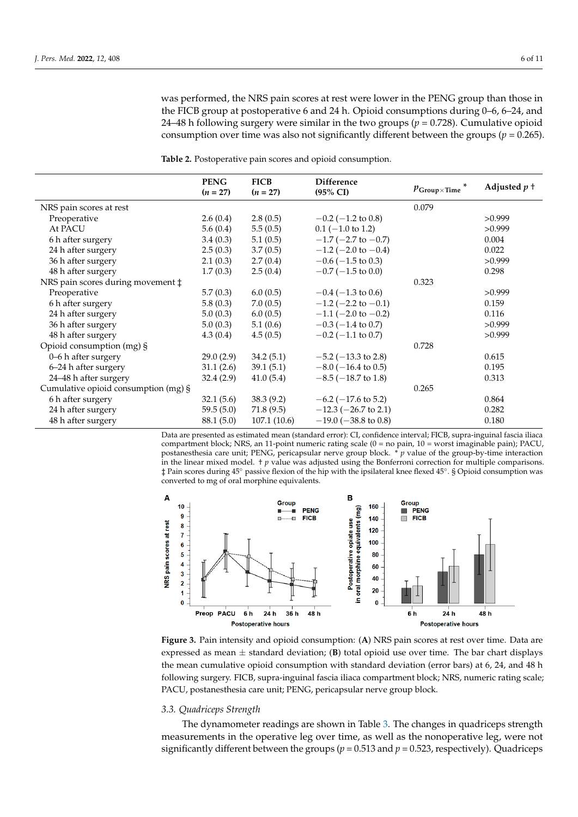was performed, the NRS pain scores at rest were lower in the PENG group than those in the FICB group at postoperative 6 and 24 h. Opioid consumptions during 0–6, 6–24, and 24–48 h following surgery were similar in the two groups ( $p = 0.728$ ). Cumulative opioid consumption over time was also not significantly different between the groups (*p* = 0.265).

|                                      | <b>PENG</b><br>$(n = 27)$ | <b>FICB</b><br>$(n = 27)$ | <b>Difference</b><br>$(95\% \text{ CI})$ | $p_{Group \times Time}$ | Adjusted $p+$ |
|--------------------------------------|---------------------------|---------------------------|------------------------------------------|-------------------------|---------------|
| NRS pain scores at rest              |                           |                           |                                          | 0.079                   |               |
| Preoperative                         | 2.6(0.4)                  | 2.8(0.5)                  | $-0.2$ ( $-1.2$ to 0.8)                  |                         | >0.999        |
| At PACU                              | 5.6(0.4)                  | 5.5(0.5)                  | $0.1$ (-1.0 to 1.2)                      |                         | >0.999        |
| 6 h after surgery                    | 3.4(0.3)                  | 5.1(0.5)                  | $-1.7$ ( $-2.7$ to $-0.7$ )              |                         | 0.004         |
| 24 h after surgery                   | 2.5(0.3)                  | 3.7(0.5)                  | $-1.2$ (-2.0 to -0.4)                    |                         | 0.022         |
| 36 h after surgery                   | 2.1(0.3)                  | 2.7(0.4)                  | $-0.6$ ( $-1.5$ to 0.3)                  |                         | >0.999        |
| 48 h after surgery                   | 1.7(0.3)                  | 2.5(0.4)                  | $-0.7$ ( $-1.5$ to 0.0)                  |                         | 0.298         |
| NRS pain scores during movement ‡    |                           |                           |                                          | 0.323                   |               |
| Preoperative                         | 5.7(0.3)                  | 6.0(0.5)                  | $-0.4$ ( $-1.3$ to 0.6)                  |                         | >0.999        |
| 6 h after surgery                    | 5.8(0.3)                  | 7.0(0.5)                  | $-1.2$ (-2.2 to -0.1)                    |                         | 0.159         |
| 24 h after surgery                   | 5.0(0.3)                  | 6.0(0.5)                  | $-1.1$ (-2.0 to -0.2)                    |                         | 0.116         |
| 36 h after surgery                   | 5.0(0.3)                  | 5.1(0.6)                  | $-0.3$ ( $-1.4$ to 0.7)                  |                         | >0.999        |
| 48 h after surgery                   | 4.3(0.4)                  | 4.5(0.5)                  | $-0.2$ ( $-1.1$ to 0.7)                  |                         | >0.999        |
| Opioid consumption (mg) §            |                           |                           |                                          | 0.728                   |               |
| 0-6 h after surgery                  | 29.0(2.9)                 | 34.2(5.1)                 | $-5.2$ ( $-13.3$ to 2.8)                 |                         | 0.615         |
| 6-24 h after surgery                 | 31.1(2.6)                 | 39.1(5.1)                 | $-8.0$ ( $-16.4$ to 0.5)                 |                         | 0.195         |
| 24-48 h after surgery                | 32.4(2.9)                 | 41.0(5.4)                 | $-8.5$ ( $-18.7$ to 1.8)                 |                         | 0.313         |
| Cumulative opioid consumption (mg) § |                           |                           |                                          | 0.265                   |               |
| 6 h after surgery                    | 32.1(5.6)                 | 38.3(9.2)                 | $-6.2$ ( $-17.6$ to 5.2)                 |                         | 0.864         |
| 24 h after surgery                   | 59.5(5.0)                 | 71.8(9.5)                 | $-12.3$ ( $-26.7$ to 2.1)                |                         | 0.282         |
| 48 h after surgery                   | 88.1 (5.0)                | 107.1(10.6)               | $-19.0$ ( $-38.8$ to 0.8)                |                         | 0.180         |

<span id="page-5-0"></span>**Table 2.** Postoperative pain scores and opioid consumption.

Data are presented as estimated mean (standard error): CI, confidence interval; FICB, supra-inguinal fascia iliaca compartment block; NRS, an 11-point numeric rating scale (0 = no pain, 10 = worst imaginable pain); PACU, compartment block, INK5, an 11-point numeric rating scale (0 – 110 pant, 10 – worst miaginable pant), FACO, postanesthesia care unit; PENG, pericapsular nerve group block. \* *p* value of the group-by-time interaction in the linear mixed model. *† p* value was adjusted using the Bonferroni correction for multiple comparisons. ‡ Pain scores during 45° passive flexion of the hip with the ipsilateral knee flexed 45°. § Opioid consumption was converted to mg of oral morphine equivalents.

<span id="page-5-1"></span>

**Figure 3.** Pain intensity and opioid consumption: (**A**) NRS pain scores at rest over time. Data are **Figure 3.** Pain intensity and opioid consumption: (**A**) NRS pain scores at rest over time. Data are expressed as mean  $\pm$  standard deviation; (**B**) total opioid use over time. The bar chart displays the mean cumulative opioid consumption with standard deviation (error bars) at 6, 24, and 48 h ing surgery. FICB, supra-inguinal fascia iliaca compartment block; NRS, numeric rating scale; following surgery. FICB, supra-inguinal fascia iliaca compartment block; NRS, numeric rating scale; PACU, postanesthesia care unit; PENG, pericapsular nerve group block. PACU, postanesthesia care unit; PENG, pericapsular nerve group block.

# **Table 2.** Postoperative pain scores and opioid consumption *3.3. Quadriceps Strength*

The dynamometer readings are shown in Table 3. The changes in quadri[ce](#page-6-0)ps strength measurements in the operative leg over time, as well as the nonoperative leg, were not significantly different between the groups ( $p$  = 0.513 and  $p$  = 0.523, respectively). Quadriceps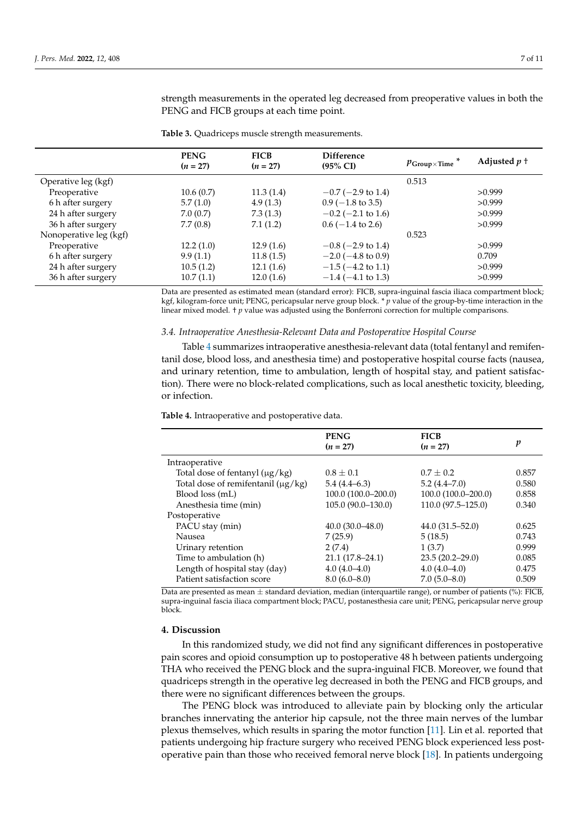**PENG**  $(n = 27)$ **FICB**  $(n = 27)$ **Difference** *p*Group×Time<sup>\*</sup> Adjusted *p* †  $p$ <sup>1</sup> Operative leg (kgf) 0.513 Preoperative  $10.6 \,(0.7)$   $11.3 \,(1.4)$   $-0.7 \,(-2.9 \text{ to } 1.4)$  >0.999 6 h after surgery 5.7 (1.0) 4.9 (1.3) 0.9 (−1.8 to 3.5) >0.999 24 h after surgery 7.0 (0.7)  $7.3(1.3)$   $-0.2(-2.1 \text{ to } 1.6)$   $>0.999$ 36 h after surgery 7.7 (0.8) 7.1 (1.2) 0.6 (−1.4 to 2.6) >0.999 Nonoperative leg (kgf) 0.523 Preoperative 12.2 (1.0)  $12.9 (1.6)$   $-0.8 (-2.9 \text{ to } 1.4)$  >0.999 6 h after surgery 9.9 (1.1) 11.8 (1.5) −2.0 (−4.8 to 0.9) 0.709 24 h after surgery 10.5 (1.2) 12.1 (1.6) −1.5 (−4.2 to 1.1) >0.999 36 h after surgery 10.7 (1.1) 12.0 (1.6) −1.4 (−4.1 to 1.3) >0.999

<span id="page-6-0"></span>**Table 3.** Quadriceps muscle strength measurements.

strength measurements in the operated leg decreased from preoperative values in both the PENG and FICB groups at each time point.

Data are presented as estimated mean (standard error): FICB, supra-inguinal fascia iliaca compartment block; kgf, kilogram-force unit; PENG, pericapsular nerve group block. \* *p* value of the group-by-time interaction in the linear mixed model. † *p* value was adjusted using the Bonferroni correction for multiple comparisons.

#### *3.4. Intraoperative Anesthesia-Relevant Data and Postoperative Hospital Course*

Table [4](#page-6-1) summarizes intraoperative anesthesia-relevant data (total fentanyl and remifentanil dose, blood loss, and anesthesia time) and postoperative hospital course facts (nausea, and urinary retention, time to ambulation, length of hospital stay, and patient satisfaction). There were no block-related complications, such as local anesthetic toxicity, bleeding, or infection.

<span id="page-6-1"></span>**Table 4.** Intraoperative and postoperative data.

|                                         | <b>PENG</b><br>$(n = 27)$ | <b>FICB</b><br>$(n = 27)$ | p     |
|-----------------------------------------|---------------------------|---------------------------|-------|
| Intraoperative                          |                           |                           |       |
| Total dose of fentanyl $(\mu g/kg)$     | $0.8 \pm 0.1$             | $0.7 \pm 0.2$             | 0.857 |
| Total dose of remifentanil $(\mu g/kg)$ | $5.4(4.4-6.3)$            | $5.2(4.4 - 7.0)$          | 0.580 |
| Blood loss (mL)                         | 100.0 (100.0-200.0)       | 100.0 (100.0-200.0)       | 0.858 |
| Anesthesia time (min)                   | 105.0 (90.0–130.0)        | 110.0 (97.5-125.0)        | 0.340 |
| Postoperative                           |                           |                           |       |
| PACU stay (min)                         | $40.0(30.0-48.0)$         | $44.0(31.5 - 52.0)$       | 0.625 |
| Nausea                                  | 7(25.9)                   | 5(18.5)                   | 0.743 |
| Urinary retention                       | 2(7.4)                    | 1(3.7)                    | 0.999 |
| Time to ambulation (h)                  | $21.1(17.8-24.1)$         | $23.5(20.2 - 29.0)$       | 0.085 |
| Length of hospital stay (day)           | $4.0(4.0-4.0)$            | $4.0(4.0-4.0)$            | 0.475 |
| Patient satisfaction score              | $8.0(6.0 - 8.0)$          | $7.0(5.0-8.0)$            | 0.509 |

Data are presented as mean  $\pm$  standard deviation, median (interquartile range), or number of patients (%): FICB, supra-inguinal fascia iliaca compartment block; PACU, postanesthesia care unit; PENG, pericapsular nerve group block.

#### **4. Discussion**

In this randomized study, we did not find any significant differences in postoperative pain scores and opioid consumption up to postoperative 48 h between patients undergoing THA who received the PENG block and the supra-inguinal FICB. Moreover, we found that quadriceps strength in the operative leg decreased in both the PENG and FICB groups, and there were no significant differences between the groups.

The PENG block was introduced to alleviate pain by blocking only the articular branches innervating the anterior hip capsule, not the three main nerves of the lumbar plexus themselves, which results in sparing the motor function [\[11\]](#page-9-8). Lin et al. reported that patients undergoing hip fracture surgery who received PENG block experienced less postoperative pain than those who received femoral nerve block [\[18\]](#page-10-2). In patients undergoing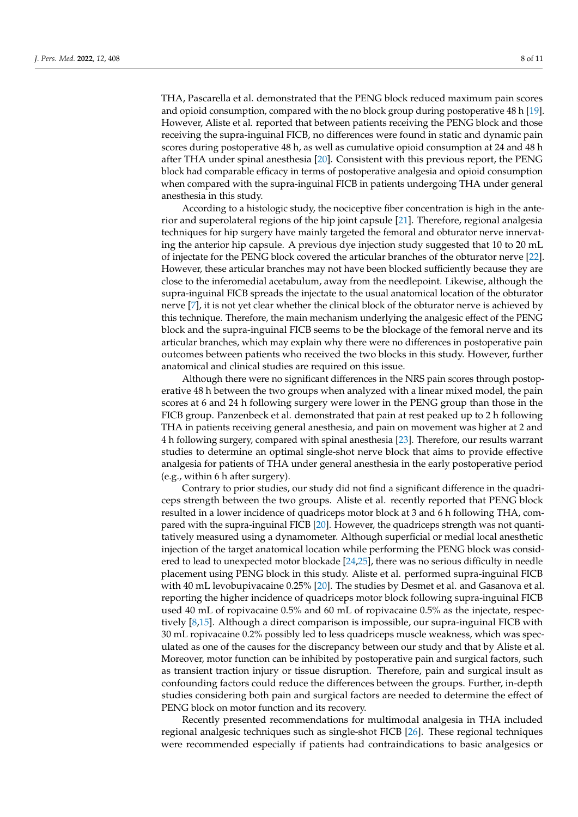THA, Pascarella et al. demonstrated that the PENG block reduced maximum pain scores and opioid consumption, compared with the no block group during postoperative 48 h [\[19\]](#page-10-3). However, Aliste et al. reported that between patients receiving the PENG block and those receiving the supra-inguinal FICB, no differences were found in static and dynamic pain scores during postoperative 48 h, as well as cumulative opioid consumption at 24 and 48 h after THA under spinal anesthesia [\[20\]](#page-10-4). Consistent with this previous report, the PENG block had comparable efficacy in terms of postoperative analgesia and opioid consumption when compared with the supra-inguinal FICB in patients undergoing THA under general anesthesia in this study.

According to a histologic study, the nociceptive fiber concentration is high in the anterior and superolateral regions of the hip joint capsule [\[21\]](#page-10-5). Therefore, regional analgesia techniques for hip surgery have mainly targeted the femoral and obturator nerve innervating the anterior hip capsule. A previous dye injection study suggested that 10 to 20 mL of injectate for the PENG block covered the articular branches of the obturator nerve [\[22\]](#page-10-6). However, these articular branches may not have been blocked sufficiently because they are close to the inferomedial acetabulum, away from the needlepoint. Likewise, although the supra-inguinal FICB spreads the injectate to the usual anatomical location of the obturator nerve [\[7\]](#page-9-4), it is not yet clear whether the clinical block of the obturator nerve is achieved by this technique. Therefore, the main mechanism underlying the analgesic effect of the PENG block and the supra-inguinal FICB seems to be the blockage of the femoral nerve and its articular branches, which may explain why there were no differences in postoperative pain outcomes between patients who received the two blocks in this study. However, further anatomical and clinical studies are required on this issue.

Although there were no significant differences in the NRS pain scores through postoperative 48 h between the two groups when analyzed with a linear mixed model, the pain scores at 6 and 24 h following surgery were lower in the PENG group than those in the FICB group. Panzenbeck et al. demonstrated that pain at rest peaked up to 2 h following THA in patients receiving general anesthesia, and pain on movement was higher at 2 and 4 h following surgery, compared with spinal anesthesia [\[23\]](#page-10-7). Therefore, our results warrant studies to determine an optimal single-shot nerve block that aims to provide effective analgesia for patients of THA under general anesthesia in the early postoperative period (e.g., within 6 h after surgery).

Contrary to prior studies, our study did not find a significant difference in the quadriceps strength between the two groups. Aliste et al. recently reported that PENG block resulted in a lower incidence of quadriceps motor block at 3 and 6 h following THA, compared with the supra-inguinal FICB [\[20\]](#page-10-4). However, the quadriceps strength was not quantitatively measured using a dynamometer. Although superficial or medial local anesthetic injection of the target anatomical location while performing the PENG block was considered to lead to unexpected motor blockade [\[24](#page-10-8)[,25\]](#page-10-9), there was no serious difficulty in needle placement using PENG block in this study. Aliste et al. performed supra-inguinal FICB with 40 mL levobupivacaine 0.25% [\[20\]](#page-10-4). The studies by Desmet et al. and Gasanova et al. reporting the higher incidence of quadriceps motor block following supra-inguinal FICB used 40 mL of ropivacaine 0.5% and 60 mL of ropivacaine 0.5% as the injectate, respectively [\[8](#page-9-5)[,15\]](#page-9-12). Although a direct comparison is impossible, our supra-inguinal FICB with 30 mL ropivacaine 0.2% possibly led to less quadriceps muscle weakness, which was speculated as one of the causes for the discrepancy between our study and that by Aliste et al. Moreover, motor function can be inhibited by postoperative pain and surgical factors, such as transient traction injury or tissue disruption. Therefore, pain and surgical insult as confounding factors could reduce the differences between the groups. Further, in-depth studies considering both pain and surgical factors are needed to determine the effect of PENG block on motor function and its recovery.

Recently presented recommendations for multimodal analgesia in THA included regional analgesic techniques such as single-shot FICB [\[26\]](#page-10-10). These regional techniques were recommended especially if patients had contraindications to basic analgesics or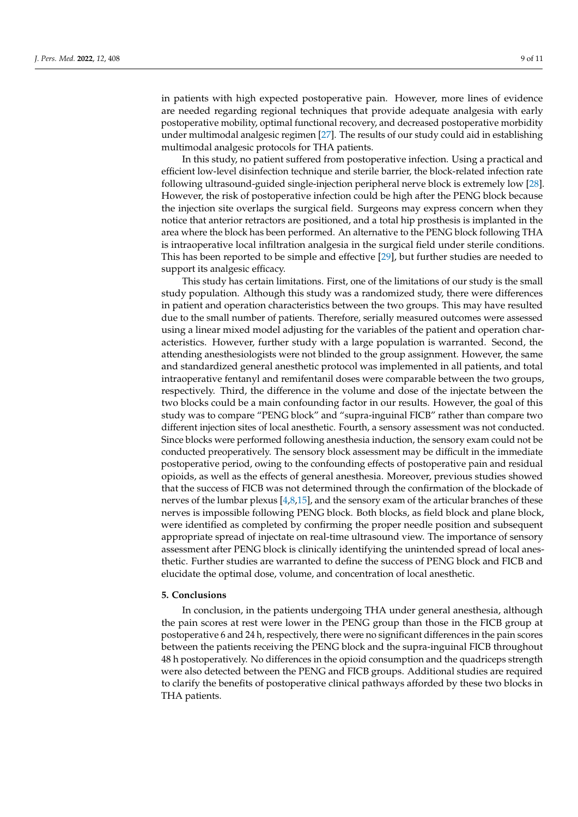in patients with high expected postoperative pain. However, more lines of evidence are needed regarding regional techniques that provide adequate analgesia with early postoperative mobility, optimal functional recovery, and decreased postoperative morbidity under multimodal analgesic regimen [\[27\]](#page-10-11). The results of our study could aid in establishing multimodal analgesic protocols for THA patients.

In this study, no patient suffered from postoperative infection. Using a practical and efficient low-level disinfection technique and sterile barrier, the block-related infection rate following ultrasound-guided single-injection peripheral nerve block is extremely low [\[28\]](#page-10-12). However, the risk of postoperative infection could be high after the PENG block because the injection site overlaps the surgical field. Surgeons may express concern when they notice that anterior retractors are positioned, and a total hip prosthesis is implanted in the area where the block has been performed. An alternative to the PENG block following THA is intraoperative local infiltration analgesia in the surgical field under sterile conditions. This has been reported to be simple and effective [\[29\]](#page-10-13), but further studies are needed to support its analgesic efficacy.

This study has certain limitations. First, one of the limitations of our study is the small study population. Although this study was a randomized study, there were differences in patient and operation characteristics between the two groups. This may have resulted due to the small number of patients. Therefore, serially measured outcomes were assessed using a linear mixed model adjusting for the variables of the patient and operation characteristics. However, further study with a large population is warranted. Second, the attending anesthesiologists were not blinded to the group assignment. However, the same and standardized general anesthetic protocol was implemented in all patients, and total intraoperative fentanyl and remifentanil doses were comparable between the two groups, respectively. Third, the difference in the volume and dose of the injectate between the two blocks could be a main confounding factor in our results. However, the goal of this study was to compare "PENG block" and "supra-inguinal FICB" rather than compare two different injection sites of local anesthetic. Fourth, a sensory assessment was not conducted. Since blocks were performed following anesthesia induction, the sensory exam could not be conducted preoperatively. The sensory block assessment may be difficult in the immediate postoperative period, owing to the confounding effects of postoperative pain and residual opioids, as well as the effects of general anesthesia. Moreover, previous studies showed that the success of FICB was not determined through the confirmation of the blockade of nerves of the lumbar plexus [\[4](#page-9-3)[,8](#page-9-5)[,15\]](#page-9-12), and the sensory exam of the articular branches of these nerves is impossible following PENG block. Both blocks, as field block and plane block, were identified as completed by confirming the proper needle position and subsequent appropriate spread of injectate on real-time ultrasound view. The importance of sensory assessment after PENG block is clinically identifying the unintended spread of local anesthetic. Further studies are warranted to define the success of PENG block and FICB and elucidate the optimal dose, volume, and concentration of local anesthetic.

#### **5. Conclusions**

In conclusion, in the patients undergoing THA under general anesthesia, although the pain scores at rest were lower in the PENG group than those in the FICB group at postoperative 6 and 24 h, respectively, there were no significant differences in the pain scores between the patients receiving the PENG block and the supra-inguinal FICB throughout 48 h postoperatively. No differences in the opioid consumption and the quadriceps strength were also detected between the PENG and FICB groups. Additional studies are required to clarify the benefits of postoperative clinical pathways afforded by these two blocks in THA patients.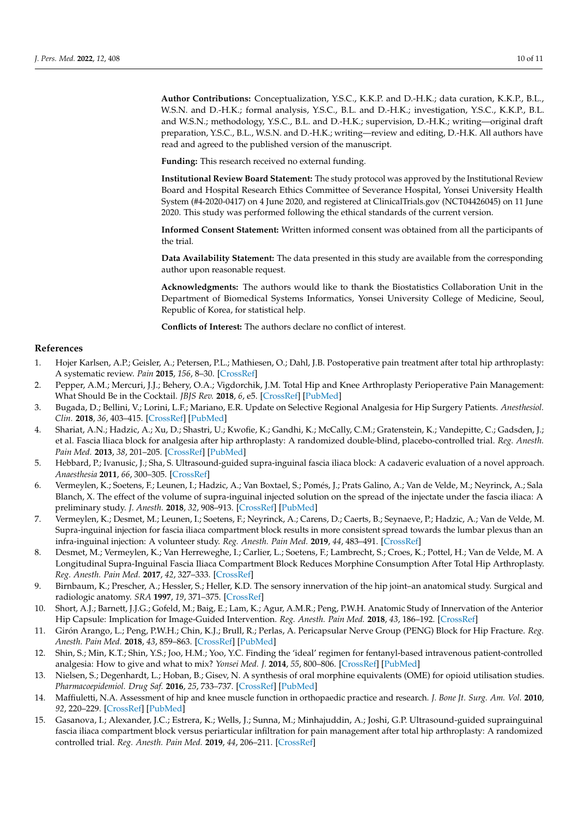**Author Contributions:** Conceptualization, Y.S.C., K.K.P. and D.-H.K.; data curation, K.K.P., B.L., W.S.N. and D.-H.K.; formal analysis, Y.S.C., B.L. and D.-H.K.; investigation, Y.S.C., K.K.P., B.L. and W.S.N.; methodology, Y.S.C., B.L. and D.-H.K.; supervision, D.-H.K.; writing—original draft preparation, Y.S.C., B.L., W.S.N. and D.-H.K.; writing—review and editing, D.-H.K. All authors have read and agreed to the published version of the manuscript.

**Funding:** This research received no external funding.

**Institutional Review Board Statement:** The study protocol was approved by the Institutional Review Board and Hospital Research Ethics Committee of Severance Hospital, Yonsei University Health System (#4-2020-0417) on 4 June 2020, and registered at ClinicalTrials.gov (NCT04426045) on 11 June 2020. This study was performed following the ethical standards of the current version.

**Informed Consent Statement:** Written informed consent was obtained from all the participants of the trial.

**Data Availability Statement:** The data presented in this study are available from the corresponding author upon reasonable request.

**Acknowledgments:** The authors would like to thank the Biostatistics Collaboration Unit in the Department of Biomedical Systems Informatics, Yonsei University College of Medicine, Seoul, Republic of Korea, for statistical help.

**Conflicts of Interest:** The authors declare no conflict of interest.

# **References**

- <span id="page-9-0"></span>1. Hojer Karlsen, A.P.; Geisler, A.; Petersen, P.L.; Mathiesen, O.; Dahl, J.B. Postoperative pain treatment after total hip arthroplasty: A systematic review. *Pain* **2015**, *156*, 8–30. [\[CrossRef\]](http://doi.org/10.1016/j.pain.0000000000000003)
- <span id="page-9-1"></span>2. Pepper, A.M.; Mercuri, J.J.; Behery, O.A.; Vigdorchik, J.M. Total Hip and Knee Arthroplasty Perioperative Pain Management: What Should Be in the Cocktail. *JBJS Rev.* **2018**, *6*, e5. [\[CrossRef\]](http://doi.org/10.2106/JBJS.RVW.18.00023) [\[PubMed\]](http://www.ncbi.nlm.nih.gov/pubmed/30562208)
- <span id="page-9-2"></span>3. Bugada, D.; Bellini, V.; Lorini, L.F.; Mariano, E.R. Update on Selective Regional Analgesia for Hip Surgery Patients. *Anesthesiol. Clin.* **2018**, *36*, 403–415. [\[CrossRef\]](http://doi.org/10.1016/j.anclin.2018.04.001) [\[PubMed\]](http://www.ncbi.nlm.nih.gov/pubmed/30092937)
- <span id="page-9-3"></span>4. Shariat, A.N.; Hadzic, A.; Xu, D.; Shastri, U.; Kwofie, K.; Gandhi, K.; McCally, C.M.; Gratenstein, K.; Vandepitte, C.; Gadsden, J.; et al. Fascia lliaca block for analgesia after hip arthroplasty: A randomized double-blind, placebo-controlled trial. *Reg. Anesth. Pain Med.* **2013**, *38*, 201–205. [\[CrossRef\]](http://doi.org/10.1097/AAP.0b013e31828a3c7c) [\[PubMed\]](http://www.ncbi.nlm.nih.gov/pubmed/23558369)
- 5. Hebbard, P.; Ivanusic, J.; Sha, S. Ultrasound-guided supra-inguinal fascia iliaca block: A cadaveric evaluation of a novel approach. *Anaesthesia* **2011**, *66*, 300–305. [\[CrossRef\]](http://doi.org/10.1111/j.1365-2044.2011.06628.x)
- 6. Vermeylen, K.; Soetens, F.; Leunen, I.; Hadzic, A.; Van Boxtael, S.; Pomés, J.; Prats Galino, A.; Van de Velde, M.; Neyrinck, A.; Sala Blanch, X. The effect of the volume of supra-inguinal injected solution on the spread of the injectate under the fascia iliaca: A preliminary study. *J. Anesth.* **2018**, *32*, 908–913. [\[CrossRef\]](http://doi.org/10.1007/s00540-018-2558-9) [\[PubMed\]](http://www.ncbi.nlm.nih.gov/pubmed/30250982)
- <span id="page-9-4"></span>7. Vermeylen, K.; Desmet, M.; Leunen, I.; Soetens, F.; Neyrinck, A.; Carens, D.; Caerts, B.; Seynaeve, P.; Hadzic, A.; Van de Velde, M. Supra-inguinal injection for fascia iliaca compartment block results in more consistent spread towards the lumbar plexus than an infra-inguinal injection: A volunteer study. *Reg. Anesth. Pain Med.* **2019**, *44*, 483–491. [\[CrossRef\]](http://doi.org/10.1136/rapm-2018-100092)
- <span id="page-9-5"></span>8. Desmet, M.; Vermeylen, K.; Van Herreweghe, I.; Carlier, L.; Soetens, F.; Lambrecht, S.; Croes, K.; Pottel, H.; Van de Velde, M. A Longitudinal Supra-Inguinal Fascia Iliaca Compartment Block Reduces Morphine Consumption After Total Hip Arthroplasty. *Reg. Anesth. Pain Med.* **2017**, *42*, 327–333. [\[CrossRef\]](http://doi.org/10.1097/AAP.0000000000000543)
- <span id="page-9-6"></span>9. Birnbaum, K.; Prescher, A.; Hessler, S.; Heller, K.D. The sensory innervation of the hip joint–an anatomical study. Surgical and radiologic anatomy. *SRA* **1997**, *19*, 371–375. [\[CrossRef\]](http://doi.org/10.1007/BF01628504)
- <span id="page-9-7"></span>10. Short, A.J.; Barnett, J.J.G.; Gofeld, M.; Baig, E.; Lam, K.; Agur, A.M.R.; Peng, P.W.H. Anatomic Study of Innervation of the Anterior Hip Capsule: Implication for Image-Guided Intervention. *Reg. Anesth. Pain Med.* **2018**, *43*, 186–192. [\[CrossRef\]](http://doi.org/10.1097/AAP.0000000000000701)
- <span id="page-9-8"></span>11. Girón Arango, L.; Peng, P.W.H.; Chin, K.J.; Brull, R.; Perlas, A. Pericapsular Nerve Group (PENG) Block for Hip Fracture. *Reg. Anesth. Pain Med.* **2018**, *43*, 859–863. [\[CrossRef\]](http://doi.org/10.1097/AAP.0000000000000847) [\[PubMed\]](http://www.ncbi.nlm.nih.gov/pubmed/30063657)
- <span id="page-9-9"></span>12. Shin, S.; Min, K.T.; Shin, Y.S.; Joo, H.M.; Yoo, Y.C. Finding the 'ideal' regimen for fentanyl-based intravenous patient-controlled analgesia: How to give and what to mix? *Yonsei Med. J.* **2014**, *55*, 800–806. [\[CrossRef\]](http://doi.org/10.3349/ymj.2014.55.3.800) [\[PubMed\]](http://www.ncbi.nlm.nih.gov/pubmed/24719151)
- <span id="page-9-10"></span>13. Nielsen, S.; Degenhardt, L.; Hoban, B.; Gisev, N. A synthesis of oral morphine equivalents (OME) for opioid utilisation studies. *Pharmacoepidemiol. Drug Saf.* **2016**, *25*, 733–737. [\[CrossRef\]](http://doi.org/10.1002/pds.3945) [\[PubMed\]](http://www.ncbi.nlm.nih.gov/pubmed/26693665)
- <span id="page-9-11"></span>14. Maffiuletti, N.A. Assessment of hip and knee muscle function in orthopaedic practice and research. *J. Bone Jt. Surg. Am. Vol.* **2010**, *92*, 220–229. [\[CrossRef\]](http://doi.org/10.2106/JBJS.I.00305) [\[PubMed\]](http://www.ncbi.nlm.nih.gov/pubmed/20048117)
- <span id="page-9-12"></span>15. Gasanova, I.; Alexander, J.C.; Estrera, K.; Wells, J.; Sunna, M.; Minhajuddin, A.; Joshi, G.P. Ultrasound-guided suprainguinal fascia iliaca compartment block versus periarticular infiltration for pain management after total hip arthroplasty: A randomized controlled trial. *Reg. Anesth. Pain Med.* **2019**, *44*, 206–211. [\[CrossRef\]](http://doi.org/10.1136/rapm-2018-000016)